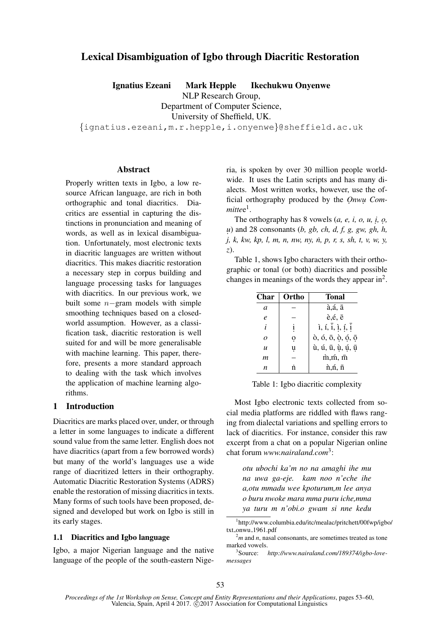# Lexical Disambiguation of Igbo through Diacritic Restoration

Ignatius Ezeani Mark Hepple Ikechukwu Onyenwe

NLP Research Group,

Department of Computer Science,

University of Sheffield, UK.

{ignatius.ezeani,m.r.hepple,i.onyenwe}@sheffield.ac.uk

# Abstract

Properly written texts in Igbo, a low resource African language, are rich in both orthographic and tonal diacritics. Diacritics are essential in capturing the distinctions in pronunciation and meaning of words, as well as in lexical disambiguation. Unfortunately, most electronic texts in diacritic languages are written without diacritics. This makes diacritic restoration a necessary step in corpus building and language processing tasks for languages with diacritics. In our previous work, we built some  $n$ −gram models with simple smoothing techniques based on a closedworld assumption. However, as a classification task, diacritic restoration is well suited for and will be more generalisable with machine learning. This paper, therefore, presents a more standard approach to dealing with the task which involves the application of machine learning algorithms.

# 1 Introduction

Diacritics are marks placed over, under, or through a letter in some languages to indicate a different sound value from the same letter. English does not have diacritics (apart from a few borrowed words) but many of the world's languages use a wide range of diacritized letters in their orthography. Automatic Diacritic Restoration Systems (ADRS) enable the restoration of missing diacritics in texts. Many forms of such tools have been proposed, designed and developed but work on Igbo is still in its early stages.

# 1.1 Diacritics and Igbo language

Igbo, a major Nigerian language and the native language of the people of the south-eastern Nigeria, is spoken by over 30 million people worldwide. It uses the Latin scripts and has many dialects. Most written works, however, use the official orthography produced by the *Onwu Com*mittee<sup>1</sup>.

The orthography has 8 vowels  $(a, e, i, o, u, i, o, ...)$ *u.* ) and 28 consonants (*b, gb, ch, d, f, g, gw, gh, h, j, k, kw, kp, l, m, n, nw, ny, n, p, r, s, sh, t, v, w, y, ˙ z*).

Table 1, shows Igbo characters with their orthographic or tonal (or both) diacritics and possible changes in meanings of the words they appear in<sup>2</sup>.

| Char                        | Ortho        | Tonal                                                  |
|-----------------------------|--------------|--------------------------------------------------------|
| a                           |              | à,á, ā                                                 |
| $\mathcal{C}_{\mathcal{C}}$ |              | è,é, ē                                                 |
| i                           | $\mathbf{i}$ | $\hat{i}, \hat{i}, \hat{i}, \hat{i}, \hat{i}, \hat{i}$ |
| $\Omega$                    | 0            | ò, ó, ō, ò, ó, ō                                       |
| $\boldsymbol{u}$            | u            | ù, ú, ū, ù, ú, ū                                       |
| m                           |              | $\dot{m}, \dot{m}, \, \bar{m}$                         |
| n                           | ń            | $\hat{n}, \hat{n}, \bar{n}$                            |

Table 1: Igbo diacritic complexity

Most Igbo electronic texts collected from social media platforms are riddled with flaws ranging from dialectal variations and spelling errors to lack of diacritics. For instance, consider this raw excerpt from a chat on a popular Nigerian online chat forum *www.nairaland.com*<sup>3</sup> :

*otu ubochi ka'm no na amaghi ihe mu na uwa ga-eje. kam noo n'eche ihe a,otu mmadu wee kpoturum,m lee anya o buru nwoke mara mma puru iche,mma ya turu m n'obi.o gwam si nne kedu*

<sup>1</sup> http://www.columbia.edu/itc/mealac/pritchett/00fwp/igbo/ txt\_onwu\_1961.pdf

 $^{2}m$  and *n*, nasal consonants, are sometimes treated as tone marked vowels.

 $3$ Source: http://www.nairaland.com/189374/igbo-love*messages*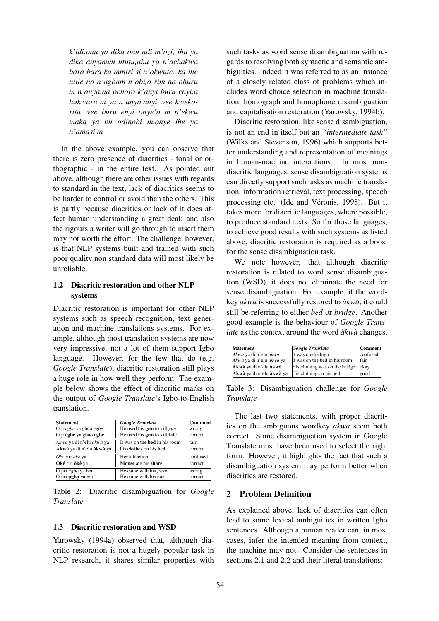*k'idi.onu ya dika onu ndi m'ozi, ihu ya dika anyanwu ututu,ahu ya n'achakwa bara bara ka mmiri si n'okwute. ka ihe niile no n'agbam n'obi,o sim na ohuru m n'anya.na ochoro k'anyi buru enyi,a hukwuru m ya n'anya.anyi wee kwekorita wee buru enyi onye'a m n'ekwu maka ya bu odinobi m,onye ihe ya n'amasi m*

In the above example, you can observe that there is zero presence of diacritics - tonal or orthographic - in the entire text. As pointed out above, although there are other issues with regards to standard in the text, lack of diacritics seems to be harder to control or avoid than the others. This is partly because diacritics or lack of it does affect human understanding a great deal; and also the rigours a writer will go through to insert them may not worth the effort. The challenge, however, is that NLP systems built and trained with such poor quality non standard data will most likely be unreliable.

# 1.2 Diacritic restoration and other NLP systems

Diacritic restoration is important for other NLP systems such as speech recognition, text generation and machine translations systems. For example, although most translation systems are now very impressive, not a lot of them support Igbo language. However, for the few that do (e.g. *Google Translate*), diacritic restoration still plays a huge role in how well they perform. The example below shows the effect of diacritic marks on the output of *Google Translate*'s Igbo-to-English translation.

| <b>Statement</b>         | <b>Google Translate</b>              | Comment  |
|--------------------------|--------------------------------------|----------|
| O ji egbe ya gbuo egbe   | He used his gun to kill gun          | wrong    |
| O ji égbè ya gbuo égbé   | He used his gun to kill kite         | correct  |
| Akwa ya di n'elu akwa ya | It was on the <b>bed</b> in his room | fair     |
| Ákwà ya di n'elu àkwà ya | his clothes on his bed               | correct  |
| Oke riri oke ya          | Her addiction                        | confused |
| <b>Oké riri òkè ya</b>   | Mouse ate his share                  | correct  |
| O jiri ugbo ya bia       | He came with his farm                | wrong    |
| O jiri ugbo ya bia       | He came with his car                 | correct  |

Table 2: Diacritic disambiguation for *Google Translate*

### 1.3 Diacritic restoration and WSD

Yarowsky (1994a) observed that, although diacritic restoration is not a hugely popular task in NLP research, it shares similar properties with

such tasks as word sense disambiguation with regards to resolving both syntactic and semantic ambiguities. Indeed it was referred to as an instance of a closely related class of problems which includes word choice selection in machine translation, homograph and homophone disambiguation and capitalisation restoration (Yarowsky, 1994b).

Diacritic restoration, like sense disambiguation, is not an end in itself but an *"intermediate task"* (Wilks and Stevenson, 1996) which supports better understanding and representation of meanings in human-machine interactions. In most nondiacritic languages, sense disambiguation systems can directly support such tasks as machine translation, information retrieval, text processing, speech processing etc. (Ide and Véronis, 1998). But it takes more for diacritic languages, where possible, to produce standard texts. So for those languages, to achieve good results with such systems as listed above, diacritic restoration is required as a boost for the sense disambiguation task.

We note however, that although diacritic restoration is related to word sense disambiguation (WSD), it does not eliminate the need for sense disambiguation. For example, if the wordkey *akwa* is successfully restored to  $\partial x \, dx$ , it could still be referring to either *bed* or *bridge*. Another good example is the behaviour of *Google Translate* as the context around the word  $\partial x \, d$  *akwa* changes.

| <b>Statement</b>         | <b>Google Translate</b>        | Comment  |
|--------------------------|--------------------------------|----------|
| Akwa ya di n'elu akwa    | It was on the high             | confused |
| Akwa ya di n'elu akwa ya | It was on the bed in his room  | fair     |
| Ákwà ya di n'elu àkwà    | His clothing was on the bridge | okay     |
| Ákwà ya di n'elu àkwà ya | His clothing on his bed        | good     |

Table 3: Disambiguation challenge for *Google Translate*

The last two statements, with proper diacritics on the ambiguous wordkey *akwa* seem both correct. Some disambiguation system in Google Translate must have been used to select the right form. However, it highlights the fact that such a disambiguation system may perform better when diacritics are restored.

# 2 Problem Definition

As explained above, lack of diacritics can often lead to some lexical ambiguities in written Igbo sentences. Although a human reader can, in most cases, infer the intended meaning from context, the machine may not. Consider the sentences in sections 2.1 and 2.2 and their literal translations: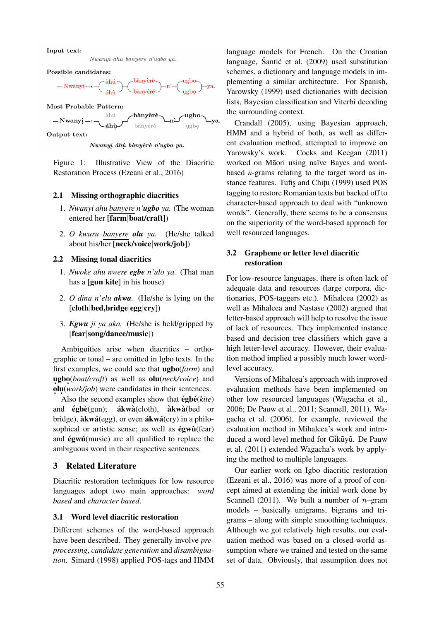Input text:



Possible candidates:



Most Probable Pattern:



Output text:

Nwanyi áhù bànyèrè n'ugbo ya.

Figure 1: Illustrative View of the Diacritic Restoration Process (Ezeani et al., 2016)

#### 2.1 Missing orthographic diacritics

- 1. *Nwanyi ahu banyere n'ugbo ya.* (The woman entered her [farm|boat/craft])
- 2. *O kwuru banyere olu ya.* (He/she talked about his/her [neck/voice|work/job])

### 2.2 Missing tonal diacritics

- 1. *Nwoke ahu nwere egbe n'ulo ya.* (That man has a [gun|kite] in his house)
- 2. *O dina n'elu akwa.* (He/she is lying on the [cloth|bed,bridge|egg|cry])
- 3. *Egwu ji ya aka.* (He/she is held/gripped by [fear|song/dance/music])

Ambiguities arise when diacritics – orthographic or tonal – are omitted in Igbo texts. In the first examples, we could see that ugbo(*farm*) and **ugbo**(*boat/craft*) as well as **olu**(*neck/voice*) and  $\mathbf{o} \mathbf{u}(\text{work/job})$  were candidates in their sentences.

Also the second examples show that  $\acute{e}$ gb $\acute{e}$ (*kite*) and  $\acute{e}$ gbè(gun); **ákwà**(cloth), **àkwà**(bed or bridge),  $\hat{a}$ kw $\hat{a}$ (egg), or even  $\hat{a}$ kw $\hat{a}$ (cry) in a philosophical or artistic sense; as well as  $égw\hat{u}$  (fear) and  $\acute{e}gw\acute{u}$ (music) are all qualified to replace the ambiguous word in their respective sentences.

# 3 Related Literature

Diacritic restoration techniques for low resource languages adopt two main approaches: *word based* and *character based*.

### 3.1 Word level diacritic restoration

Different schemes of the word-based approach have been described. They generally involve *preprocessing*, *candidate generation* and *disambiguation*. Simard (1998) applied POS-tags and HMM

language models for French. On the Croatian language, Šantić et al.  $(2009)$  used substitution schemes, a dictionary and language models in implementing a similar architecture. For Spanish, Yarowsky (1999) used dictionaries with decision lists, Bayesian classification and Viterbi decoding the surrounding context.

Crandall (2005), using Bayesian approach, HMM and a hybrid of both, as well as different evaluation method, attempted to improve on Yarowsky's work. Cocks and Keegan (2011) worked on Māori using naïve Bayes and wordbased *n-*grams relating to the target word as instance features. Tufis and Chitu (1999) used POS tagging to restore Romanian texts but backed off to character-based approach to deal with "unknown words". Generally, there seems to be a consensus on the superiority of the word-based approach for well resourced languages.

# 3.2 Grapheme or letter level diacritic restoration

For low-resource languages, there is often lack of adequate data and resources (large corpora, dictionaries, POS-taggers etc.). Mihalcea (2002) as well as Mihalcea and Nastase (2002) argued that letter-based approach will help to resolve the issue of lack of resources. They implemented instance based and decision tree classifiers which gave a high letter-level accuracy. However, their evaluation method implied a possibly much lower wordlevel accuracy.

Versions of Mihalcea's approach with improved evaluation methods have been implemented on other low resourced languages (Wagacha et al., 2006; De Pauw et al., 2011; Scannell, 2011). Wagacha et al. (2006), for example, reviewed the evaluation method in Mihalcea's work and introduced a word-level method for Gikuyu. De Pauw et al. (2011) extended Wagacha's work by applying the method to multiple languages.

Our earlier work on Igbo diacritic restoration (Ezeani et al., 2016) was more of a proof of concept aimed at extending the initial work done by Scannell (2011). We built a number of  $n$ –gram models – basically unigrams, bigrams and trigrams – along with simple smoothing techniques. Although we got relatively high results, our evaluation method was based on a closed-world assumption where we trained and tested on the same set of data. Obviously, that assumption does not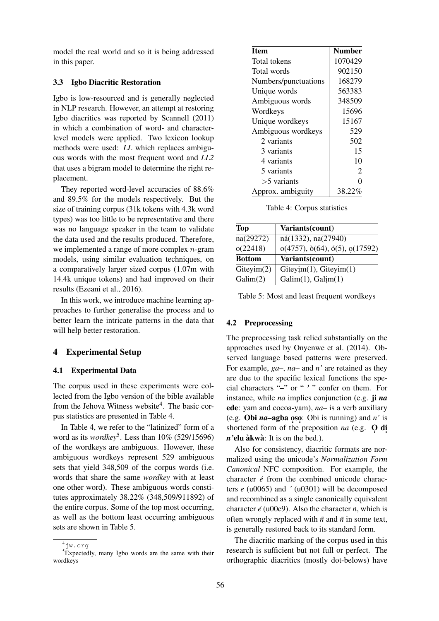model the real world and so it is being addressed in this paper.

#### 3.3 Igbo Diacritic Restoration

Igbo is low-resourced and is generally neglected in NLP research. However, an attempt at restoring Igbo diacritics was reported by Scannell (2011) in which a combination of word- and characterlevel models were applied. Two lexicon lookup methods were used: *LL* which replaces ambiguous words with the most frequent word and *LL2* that uses a bigram model to determine the right replacement.

They reported word-level accuracies of 88.6% and 89.5% for the models respectively. But the size of training corpus (31k tokens with 4.3k word types) was too little to be representative and there was no language speaker in the team to validate the data used and the results produced. Therefore, we implemented a range of more complex  $n$ -gram models, using similar evaluation techniques, on a comparatively larger sized corpus (1.07m with 14.4k unique tokens) and had improved on their results (Ezeani et al., 2016).

In this work, we introduce machine learning approaches to further generalise the process and to better learn the intricate patterns in the data that will help better restoration.

# 4 Experimental Setup

### 4.1 Experimental Data

The corpus used in these experiments were collected from the Igbo version of the bible available from the Jehova Witness website<sup>4</sup>. The basic corpus statistics are presented in Table 4.

In Table 4, we refer to the "latinized" form of a word as its *wordkey*<sup>5</sup> . Less than 10% (529/15696) of the wordkeys are ambiguous. However, these ambiguous wordkeys represent 529 ambiguous sets that yield 348,509 of the corpus words (i.e. words that share the same *wordkey* with at least one other word). These ambiguous words constitutes approximately 38.22% (348,509/911892) of the entire corpus. Some of the top most occurring, as well as the bottom least occurring ambiguous sets are shown in Table 5.

| <b>Item</b>          | <b>Number</b> |
|----------------------|---------------|
| Total tokens         | 1070429       |
| Total words          | 902150        |
| Numbers/punctuations | 168279        |
| Unique words         | 563383        |
| Ambiguous words      | 348509        |
| Wordkeys             | 15696         |
| Unique wordkeys      | 15167         |
| Ambiguous wordkeys   | 529           |
| 2 variants           | 502           |
| 3 variants           | 15            |
| 4 variants           | 10            |
| 5 variants           | 2             |
| $>5$ variants        | 0             |
| Approx. ambiguity    | 38.22%        |

Table 4: Corpus statistics

| <b>Top</b>    | Variants(count)                |
|---------------|--------------------------------|
| na(29272)     | ná(1332), na(27940)            |
| o(22418)      | o(4757), o(64), o(5), o(17592) |
| <b>Bottom</b> | Variants(count)                |
| Giteyim(2)    | $Giteyim(1)$ , $Giteyim(1)$    |
| Galim(2)      | Galim(1), Galim(1)             |

Table 5: Most and least frequent wordkeys

#### 4.2 Preprocessing

The preprocessing task relied substantially on the approaches used by Onyenwe et al. (2014). Observed language based patterns were preserved. For example, *ga–*, *na–* and *n'* are retained as they are due to the specific lexical functions the special characters "-" or " ' " confer on them. For instance, while *na* implies conjunction (e.g. ji *na* ede: yam and cocoa-yam), *na–* is a verb auxiliary (e.g. **Obi** *na***–agba oso**: Obi is running) and *n'* is shortened form of the preposition *na* (e.g. **Q di** *n'*elu à kwà: It is on the bed.).

Also for consistency, diacritic formats are normalized using the unicode's *Normalization Form Canonical* NFC composition. For example, the character *e´* from the combined unicode characters *e* (u0065) and *´* (u0301) will be decomposed and recombined as a single canonically equivalent character  $\acute{e}$  (u00e9). Also the character  $\dot{n}$ , which is often wrongly replaced with  $\tilde{n}$  and  $\bar{n}$  in some text, is generally restored back to its standard form.

The diacritic marking of the corpus used in this research is sufficient but not full or perfect. The orthographic diacritics (mostly dot-belows) have

<sup>4</sup>jw.org  $5E$ xpectedly, many Igbo words are the same with their wordkeys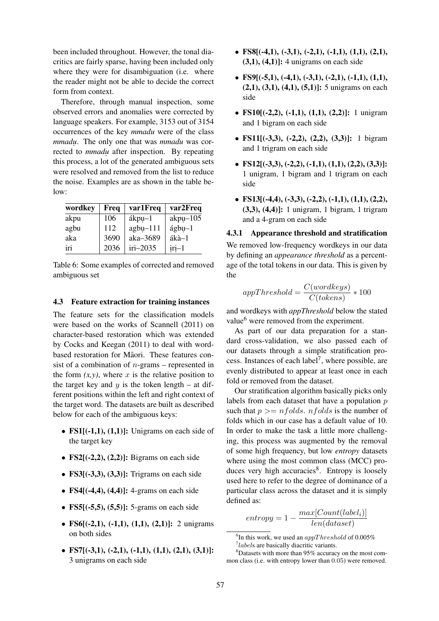been included throughout. However, the tonal diacritics are fairly sparse, having been included only where they were for disambiguation (i.e. where the reader might not be able to decide the correct form from context.

Therefore, through manual inspection, some observed errors and anomalies were corrected by language speakers. For example, 3153 out of 3154 occurrences of the key *mmadu* were of the class *mmadu.* . The only one that was *mmadu* was corrected to *mmadu.* after inspection. By repeating this process, a lot of the generated ambiguous sets were resolved and removed from the list to reduce the noise. Examples are as shown in the table be $low$ 

| wordkey | Freq | var1Freq   | var2Freq    |
|---------|------|------------|-------------|
| akpu    | 106  | ákpu-1     | $akpu-105$  |
| agbu    | 112  | $agbu-111$ | $ágbu-1$    |
| aka     | 3690 | aka-3689   | ákà-1       |
| iri     | 2036 | $iri-2035$ | $i$ ri $-1$ |

Table 6: Some examples of corrected and removed ambiguous set

### 4.3 Feature extraction for training instances

The feature sets for the classification models were based on the works of Scannell (2011) on character-based restoration which was extended by Cocks and Keegan (2011) to deal with wordbased restoration for Māori. These features consist of a combination of  $n$ -grams – represented in the form  $(x, y)$ , where x is the relative position to the target key and  $y$  is the token length – at different positions within the left and right context of the target word. The datasets are built as described below for each of the ambiguous keys:

- FS1 $[(-1,1), (1,1)]$ : Unigrams on each side of the target key
- $\text{FS2}[(-2,2), (2,2)]$ : Bigrams on each side
- FS3[(-3,3), (3,3)]: Trigrams on each side
- FS4 $[(-4,4), (4,4)]$ : 4-grams on each side
- FS5 $[(-5,5), (5,5)]$ : 5-grams on each side
- FS6[(-2,1), (-1,1), (1,1), (2,1)]: 2 unigrams on both sides
- FS7[ $(-3,1)$ ,  $(-2,1)$ ,  $(-1,1)$ ,  $(1,1)$ ,  $(2,1)$ ,  $(3,1)$ ]: 3 unigrams on each side
- FS8 $[(-4,1), (-3,1), (-2,1), (-1,1), (1,1), (2,1),$  $(3,1)$ ,  $(4,1)$ ]: 4 unigrams on each side
- FS9[ $(-5,1)$ ,  $(-4,1)$ ,  $(-3,1)$ ,  $(-2,1)$ ,  $(-1,1)$ ,  $(1,1)$ ,  $(2,1), (3,1), (4,1), (5,1)$ : 5 unigrams on each side
- FS10[ $(-2,2)$ ,  $(-1,1)$ ,  $(1,1)$ ,  $(2,2)$ ]: 1 unigram and 1 bigram on each side
- FS11[ $(-3,3)$ ,  $(-2,2)$ ,  $(2,2)$ ,  $(3,3)$ ]: 1 bigram and 1 trigram on each side
- FS12[(-3,3), (-2,2), (-1,1), (1,1), (2,2), (3,3)]: 1 unigram, 1 bigram and 1 trigram on each side
- FS13[ $(-4,4)$ ,  $(-3,3)$ ,  $(-2,2)$ ,  $(-1,1)$ ,  $(1,1)$ ,  $(2,2)$ , (3,3), (4,4)]: 1 unigram, 1 bigram, 1 trigram and a 4-gram on each side

4.3.1 Appearance threshold and stratification We removed low-frequency wordkeys in our data by defining an *appearance threshold* as a percentage of the total tokens in our data. This is given by the

$$
appThreshold = \frac{C(wordkeys)}{C(tokens)} * 100
$$

and wordkeys with *appThreshold* below the stated value<sup>6</sup> were removed from the experiment.

As part of our data preparation for a standard cross-validation, we also passed each of our datasets through a simple stratification process. Instances of each label<sup>7</sup>, where possible, are evenly distributed to appear at least once in each fold or removed from the dataset.

Our stratification algorithm basically picks only labels from each dataset that have a population  $p$ such that  $p \geq p$  *nfolds. nfolds* is the number of folds which in our case has a default value of 10. In order to make the task a little more challenging, this process was augmented by the removal of some high frequency, but low *entropy* datasets where using the most common class (MCC) produces very high accuracies<sup>8</sup>. Entropy is loosely used here to refer to the degree of dominance of a particular class across the dataset and it is simply defined as:

$$
entropy = 1 - \frac{max[Count(label_i)]}{len(dataset)}
$$

<sup>&</sup>lt;sup>6</sup>In this work, we used an  $appThreshold$  of 0.005% <sup>7</sup>labels are basically diacritic variants.

<sup>8</sup>Datasets with more than 95% accuracy on the most common class (i.e. with entropy lower than 0.05) were removed.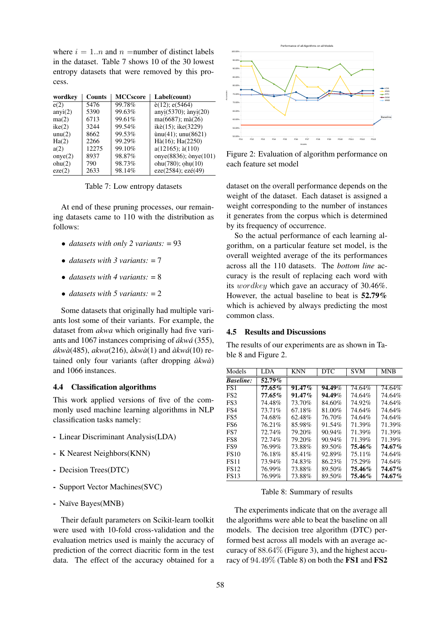where  $i = 1..n$  and  $n =$ number of distinct labels in the dataset. Table 7 shows 10 of the 30 lowest entropy datasets that were removed by this process.

| wordkey    | <b>Counts</b> | <b>MCCscore</b> | Label(count)                              |
|------------|---------------|-----------------|-------------------------------------------|
| e(2)       | 5476          | 99.78%          | $\grave{\text{e}}(12)$ ; $\text{e}(5464)$ |
| anyi(2)    | 5390          | 99.63%          | $anyi(5370);$ $anyi(20)$                  |
| ma(2)      | 6713          | 99.61%          | $ma(6687)$ ; mà $(26)$                    |
| ike(2)     | 3244          | 99.54%          | ikè(15); ike(3229)                        |
| unu(2)     | 8662          | 99.53%          | $\text{ùnu}(41)$ ; unu $(8621)$           |
| Ha(2)      | 2266          | 99.29%          | $H\hat{a}(16)$ ; $Ha(2250)$               |
| a(2)       | 12275         | 99.10%          | $a(12165)$ ; $\dot{a}(110)$               |
| onye $(2)$ | 8937          | 98.87%          | onye(8836); ònye(101)                     |
| ohu(2)     | 790           | 98.73%          | ohu $(780)$ ; ohu $(10)$                  |
| eze(2)     | 2633          | 98.14%          | $eze(2584)$ ; $ez\acute{e}(49)$           |

Table 7: Low entropy datasets

At end of these pruning processes, our remaining datasets came to 110 with the distribution as follows:

- *datasets with only 2 variants:* = 93
- *datasets with 3 variants:* = 7
- *datasets with 4 variants:*  $= 8$
- *datasets with 5 variants:* = 2

Some datasets that originally had multiple variants lost some of their variants. For example, the dataset from *akwa* which originally had five variants and 1067 instances comprising of *ákwá* (355), *akw ´ a`*(485), *akwa*(216), *akw ` a`*(1) and *akw ` a´*(10) retained only four variants (after dropping  $\partial x \rightarrow \partial x$ ) and 1066 instances.

### 4.4 Classification algorithms

This work applied versions of five of the commonly used machine learning algorithms in NLP classification tasks namely:

- Linear Discriminant Analysis(LDA)
- K Nearest Neighbors(KNN)
- Decision Trees(DTC)
- Support Vector Machines(SVC)
- Naïve Bayes(MNB)

Their default parameters on Scikit-learn toolkit were used with 10-fold cross-validation and the evaluation metrics used is mainly the accuracy of prediction of the correct diacritic form in the test data. The effect of the accuracy obtained for a



Figure 2: Evaluation of algorithm performance on each feature set model

dataset on the overall performance depends on the weight of the dataset. Each dataset is assigned a weight corresponding to the number of instances it generates from the corpus which is determined by its frequency of occurrence.

So the actual performance of each learning algorithm, on a particular feature set model, is the overall weighted average of the its performances across all the 110 datasets. The *bottom line* accuracy is the result of replacing each word with its wordkey which gave an accuracy of 30.46%. However, the actual baseline to beat is 52.79% which is achieved by always predicting the most common class.

#### 4.5 Results and Discussions

The results of our experiments are as shown in Table 8 and Figure 2.

| Models           | LDA    | <b>KNN</b> | <b>DTC</b> | <b>SVM</b> | <b>MNB</b> |
|------------------|--------|------------|------------|------------|------------|
| <b>Baseline:</b> | 52.79% |            |            |            |            |
| FS1              | 77.65% | $91.47\%$  | 94.49%     | 74.64%     | 74.64%     |
| FS <sub>2</sub>  | 77.65% | $91.47\%$  | 94.49%     | 74.64%     | 74.64%     |
| FS3              | 74.48% | 73.70%     | 84.60%     | 74.92%     | 74.64%     |
| FS4              | 73.71% | 67.18%     | 81.00%     | 74.64%     | 74.64%     |
| FS <sub>5</sub>  | 74.68% | 62.48%     | 76.70%     | 74.64%     | 74.64%     |
| FS6              | 76.21% | 85.98%     | 91.54%     | 71.39%     | 71.39%     |
| FS7              | 72.74% | 79.20%     | $90.94\%$  | 71.39%     | 71.39%     |
| FS8              | 72.74% | 79.20%     | 90.94%     | 71.39%     | 71.39%     |
| FS9              | 76.99% | 73.88%     | 89.50%     | 75.46%     | 74.67%     |
| <b>FS10</b>      | 76.18% | 85.41%     | 92.89%     | 75.11%     | 74.64%     |
| <b>FS11</b>      | 73.94% | 74.83%     | 86.23%     | 75.29%     | 74.64%     |
| <b>FS12</b>      | 76.99% | 73.88%     | 89.50%     | 75.46%     | 74.67%     |
| <b>FS13</b>      | 76.99% | 73.88%     | 89.50%     | 75.46%     | 74.67%     |
|                  |        |            |            |            |            |

Table 8: Summary of results

The experiments indicate that on the average all the algorithms were able to beat the baseline on all models. The decision tree algorithm (DTC) performed best across all models with an average accuracy of 88.64% (Figure 3), and the highest accuracy of 94.49% (Table 8) on both the FS1 and FS2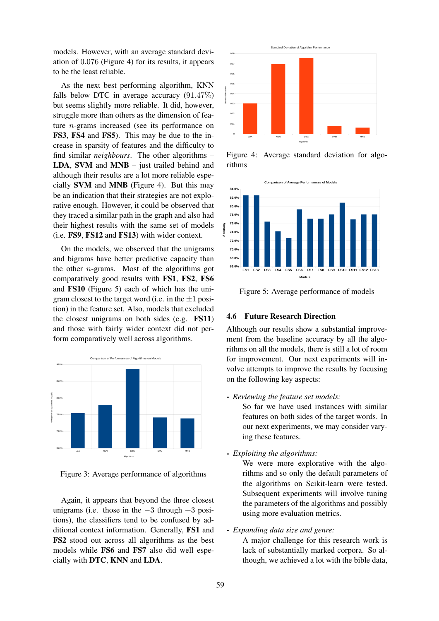models. However, with an average standard deviation of 0.076 (Figure 4) for its results, it appears to be the least reliable.

As the next best performing algorithm, KNN falls below DTC in average accuracy  $(91.47\%)$ but seems slightly more reliable. It did, however, struggle more than others as the dimension of feature n-grams increased (see its performance on FS3, FS4 and FS5). This may be due to the increase in sparsity of features and the difficulty to find similar *neighbours*. The other algorithms – LDA, SVM and MNB – just trailed behind and although their results are a lot more reliable especially SVM and MNB (Figure 4). But this may be an indication that their strategies are not explorative enough. However, it could be observed that they traced a similar path in the graph and also had their highest results with the same set of models (i.e. FS9, FS12 and FS13) with wider context.

On the models, we observed that the unigrams and bigrams have better predictive capacity than the other  $n$ -grams. Most of the algorithms got comparatively good results with FS1, FS2, FS6 and FS10 (Figure 5) each of which has the unigram closest to the target word (i.e. in the  $\pm 1$  position) in the feature set. Also, models that excluded the closest unigrams on both sides (e.g. FS11) and those with fairly wider context did not perform comparatively well across algorithms.



Figure 3: Average performance of algorithms

Again, it appears that beyond the three closest unigrams (i.e. those in the  $-3$  through  $+3$  positions), the classifiers tend to be confused by additional context information. Generally, FS1 and FS2 stood out across all algorithms as the best models while FS6 and FS7 also did well especially with DTC, KNN and LDA.



Figure 4: Average standard deviation for algorithms



Figure 5: Average performance of models

### 4.6 Future Research Direction

Although our results show a substantial improvement from the baseline accuracy by all the algorithms on all the models, there is still a lot of room for improvement. Our next experiments will involve attempts to improve the results by focusing on the following key aspects:

- *Reviewing the feature set models:*

So far we have used instances with similar features on both sides of the target words. In our next experiments, we may consider varying these features.

- *Exploiting the algorithms:*

We were more explorative with the algorithms and so only the default parameters of the algorithms on Scikit-learn were tested. Subsequent experiments will involve tuning the parameters of the algorithms and possibly using more evaluation metrics.

### - *Expanding data size and genre:*

A major challenge for this research work is lack of substantially marked corpora. So although, we achieved a lot with the bible data,